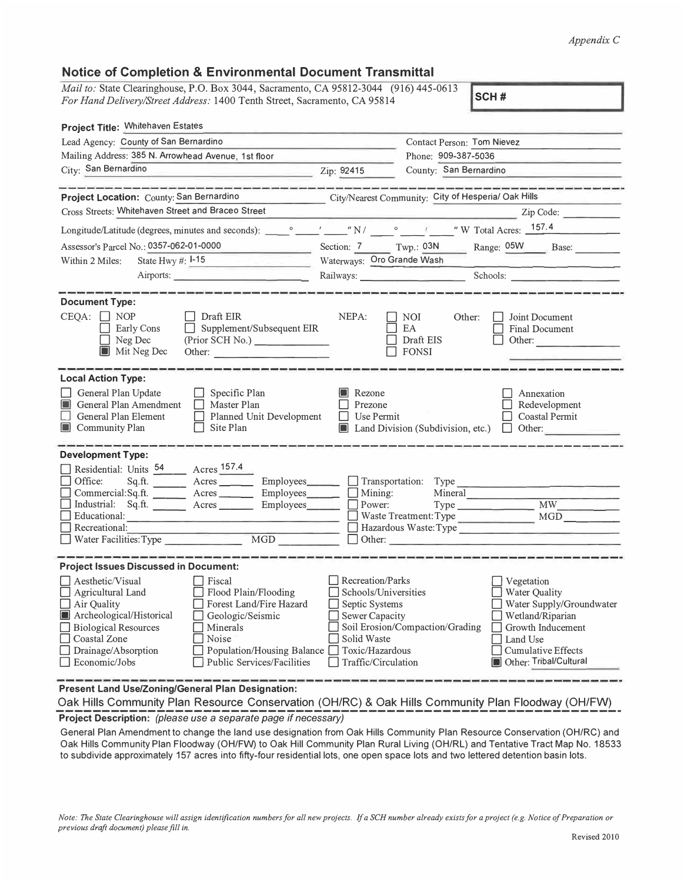## *Appendix* C

| <b>Notice of Completion &amp; Environmental Document Transmittal</b> |  |  |  |
|----------------------------------------------------------------------|--|--|--|
|----------------------------------------------------------------------|--|--|--|

| <i>Mail to:</i> State Clearinghouse, P.O. Box 3044, Sacramento, CA 95812-3044 (916) 445-0613<br>SCH#<br>For Hand Delivery/Street Address: 1400 Tenth Street, Sacramento, CA 95814                                                                                                                                                              |                                                                                                                                       |                                                                                                                                                                                                 |  |  |
|------------------------------------------------------------------------------------------------------------------------------------------------------------------------------------------------------------------------------------------------------------------------------------------------------------------------------------------------|---------------------------------------------------------------------------------------------------------------------------------------|-------------------------------------------------------------------------------------------------------------------------------------------------------------------------------------------------|--|--|
| Project Title: Whitehaven Estates                                                                                                                                                                                                                                                                                                              |                                                                                                                                       |                                                                                                                                                                                                 |  |  |
| Lead Agency: County of San Bernardino                                                                                                                                                                                                                                                                                                          |                                                                                                                                       | Contact Person: Tom Nievez                                                                                                                                                                      |  |  |
| Mailing Address: 385 N. Arrowhead Avenue, 1st floor                                                                                                                                                                                                                                                                                            |                                                                                                                                       | Phone: 909-387-5036                                                                                                                                                                             |  |  |
| City: San Bernardino                                                                                                                                                                                                                                                                                                                           | Zip: 92415                                                                                                                            | County: San Bernardino                                                                                                                                                                          |  |  |
| <b>All Control Control Control Control</b>                                                                                                                                                                                                                                                                                                     |                                                                                                                                       |                                                                                                                                                                                                 |  |  |
| Project Location: County: San Bernardino                                                                                                                                                                                                                                                                                                       |                                                                                                                                       | City/Nearest Community: City of Hesperia/ Oak Hills                                                                                                                                             |  |  |
| Cross Streets: Whitehaven Street and Braceo Street                                                                                                                                                                                                                                                                                             |                                                                                                                                       | Zip Code:                                                                                                                                                                                       |  |  |
|                                                                                                                                                                                                                                                                                                                                                |                                                                                                                                       |                                                                                                                                                                                                 |  |  |
| Assessor's Parcel No.: 0357-062-01-0000                                                                                                                                                                                                                                                                                                        |                                                                                                                                       | Section: 7 Twp.: 03N Range: 05W Base:                                                                                                                                                           |  |  |
| State Hwy #: $I-15$<br>Within 2 Miles:<br><b>The State State State</b>                                                                                                                                                                                                                                                                         | Waterways: Oro Grande Wash                                                                                                            |                                                                                                                                                                                                 |  |  |
| Airports:                                                                                                                                                                                                                                                                                                                                      |                                                                                                                                       |                                                                                                                                                                                                 |  |  |
|                                                                                                                                                                                                                                                                                                                                                |                                                                                                                                       |                                                                                                                                                                                                 |  |  |
| <b>Document Type:</b>                                                                                                                                                                                                                                                                                                                          |                                                                                                                                       |                                                                                                                                                                                                 |  |  |
| $CEQA: \Box NOP$<br>$\Box$ Draft EIR<br>Supplement/Subsequent EIR<br>$\Box$ Early Cons<br>Neg Dec<br>(Prior SCH No.) _____________<br>$\Box$<br>Mit Neg Dec<br>Other:                                                                                                                                                                          | NEPA:<br>$\Box$ EA                                                                                                                    | $\Box$ NOI<br>Joint Document<br>Other:<br>Final Document<br>Draft EIS<br>Other:<br>$\Box$ FONSI                                                                                                 |  |  |
| <b>Local Action Type:</b>                                                                                                                                                                                                                                                                                                                      |                                                                                                                                       |                                                                                                                                                                                                 |  |  |
| General Plan Update<br>$\Box$ Specific Plan<br>General Plan Amendment<br>Master Plan<br>General Plan Element<br>Planned Unit Development<br>Site Plan<br>Community Plan                                                                                                                                                                        | Rezone<br>Prezone<br>$\Box$ Use Permit                                                                                                | Annexation<br>Redevelopment<br>Coastal Permit<br><b>Land Division (Subdivision, etc.)</b><br>Other:<br>$\Box$                                                                                   |  |  |
| <b>Development Type:</b>                                                                                                                                                                                                                                                                                                                       |                                                                                                                                       |                                                                                                                                                                                                 |  |  |
| Residential: Units 54 Acres 157.4<br>Office:<br>Sq.ft. Acres Employees Transportation: Type<br>Commercial:Sq.ft. Acres Employees Mining:<br>Industrial: Sq.ft. _____ Acres ______ Employees _____ D Power: Type _________ MW_<br>Educational:<br>Recreational:                                                                                 |                                                                                                                                       | Mineral<br>MGD<br>Waste Treatment: Type<br>Hazardous Waste: Type<br>$\Box$ Other:                                                                                                               |  |  |
| <b>Project Issues Discussed in Document:</b>                                                                                                                                                                                                                                                                                                   |                                                                                                                                       |                                                                                                                                                                                                 |  |  |
| Aesthetic/Visual<br>Fiscal<br>Agricultural Land<br>Flood Plain/Flooding<br>Air Quality<br>Forest Land/Fire Hazard<br>Archeological/Historical<br>Geologic/Seismic<br>⊔<br><b>Biological Resources</b><br>Minerals<br>Coastal Zone<br>Noise<br>Drainage/Absorption<br>Population/Housing Balance<br>Economic/Jobs<br>Public Services/Facilities | Recreation/Parks<br>Schools/Universities<br>Septic Systems<br>Sewer Capacity<br>Solid Waste<br>Toxic/Hazardous<br>Traffic/Circulation | Vegetation<br>Water Quality<br>Water Supply/Groundwater<br>Wetland/Riparian<br>Soil Erosion/Compaction/Grading<br>Growth Inducement<br>Land Use<br>Cumulative Effects<br>Other: Tribal/Cultural |  |  |
| Present Land Use/Zoning/General Plan Designation:                                                                                                                                                                                                                                                                                              |                                                                                                                                       |                                                                                                                                                                                                 |  |  |

Oak Hills Community Plan Resource Conservation (OH/RC) & Oak Hills Community Plan Floodway (OH/FW) **Project Description:** *(please use* **a** *separate page if necessary)* 

General Plan Amendment to change the land use designation from Oak Hills Community Plan Resource Conservation (OH/RC) and Oak Hills Community Plan Floodway (OH/FW) to Oak Hill Community Plan Rural Living (OH/RL) and Tentative Tract Map No. 18533 to subdivide approximately 157 acres into fifty-four residential lots, one open space lots and two lettered detention basin lots.